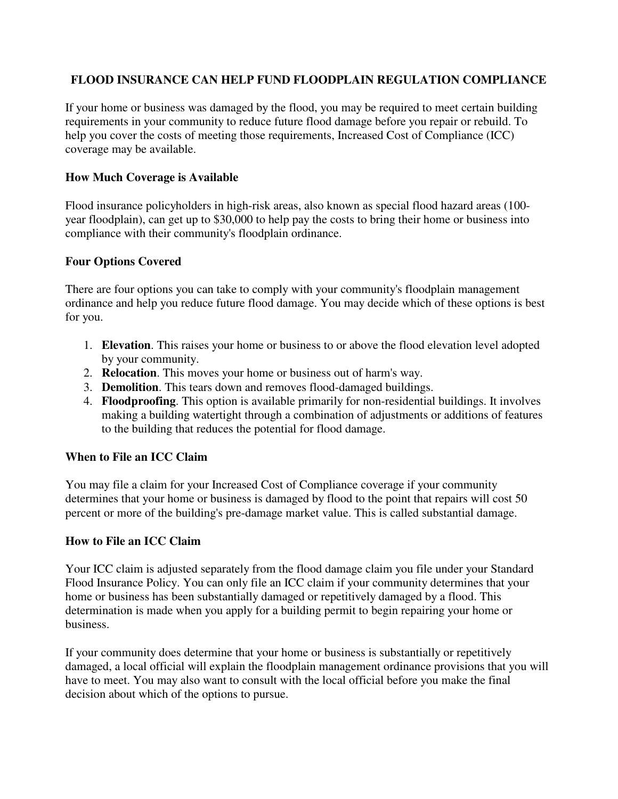# **FLOOD INSURANCE CAN HELP FUND FLOODPLAIN REGULATION COMPLIANCE**

If your home or business was damaged by the flood, you may be required to meet certain building requirements in your community to reduce future flood damage before you repair or rebuild. To help you cover the costs of meeting those requirements, Increased Cost of Compliance (ICC) coverage may be available.

## **How Much Coverage is Available**

Flood insurance policyholders in high-risk areas, also known as special flood hazard areas (100 year floodplain), can get up to \$30,000 to help pay the costs to bring their home or business into compliance with their community's floodplain ordinance.

### **Four Options Covered**

There are four options you can take to comply with your community's floodplain management ordinance and help you reduce future flood damage. You may decide which of these options is best for you.

- 1. **Elevation**. This raises your home or business to or above the flood elevation level adopted by your community.
- 2. **Relocation**. This moves your home or business out of harm's way.
- 3. **Demolition**. This tears down and removes flood-damaged buildings.
- 4. **Floodproofing**. This option is available primarily for non-residential buildings. It involves making a building watertight through a combination of adjustments or additions of features to the building that reduces the potential for flood damage.

### **When to File an ICC Claim**

You may file a claim for your Increased Cost of Compliance coverage if your community determines that your home or business is damaged by flood to the point that repairs will cost 50 percent or more of the building's pre-damage market value. This is called substantial damage.

#### **How to File an ICC Claim**

Your ICC claim is adjusted separately from the flood damage claim you file under your Standard Flood Insurance Policy. You can only file an ICC claim if your community determines that your home or business has been substantially damaged or repetitively damaged by a flood. This determination is made when you apply for a building permit to begin repairing your home or business.

If your community does determine that your home or business is substantially or repetitively damaged, a local official will explain the floodplain management ordinance provisions that you will have to meet. You may also want to consult with the local official before you make the final decision about which of the options to pursue.